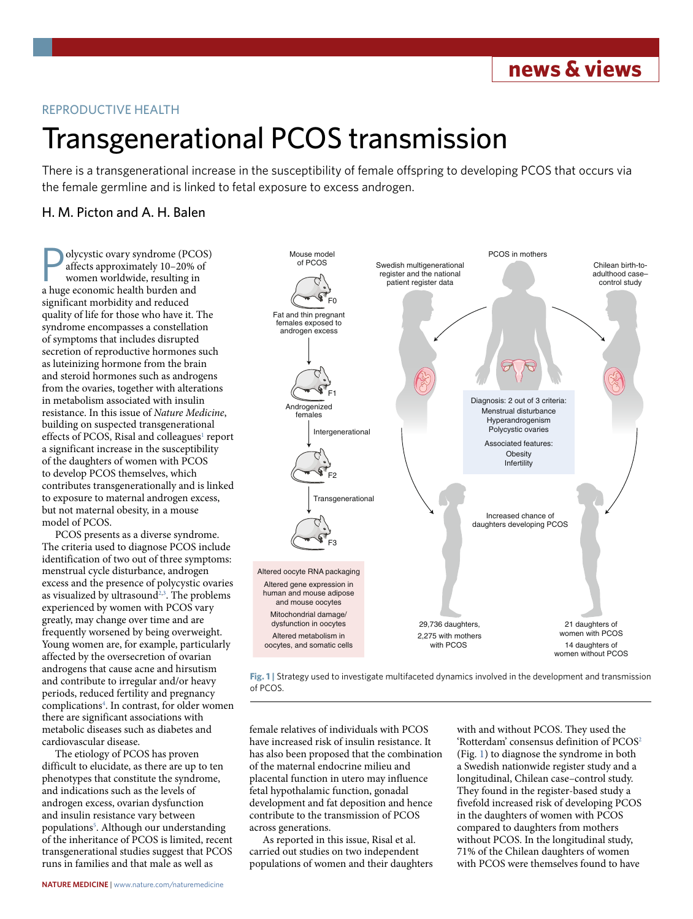

## REPRODUCTIVE HEALTH

# Transgenerational PCOS transmission

There is a transgenerational increase in the susceptibility of female offspring to developing PCOS that occurs via the female germline and is linked to fetal exposure to excess androgen.

## H. M. Picton and A. H. Balen

olycystic ovary syndrome (PCOS) affects approximately 10–20% of women worldwide, resulting in a huge economic health burden and significant morbidity and reduced quality of life for those who have it. The syndrome encompasses a constellation of symptoms that includes disrupted secretion of reproductive hormones such as luteinizing hormone from the brain and steroid hormones such as androgens from the ovaries, together with alterations in metabolism associated with insulin resistance. In this issue of *Nature Medicine*, building on suspected transgenerational effects of PCOS, Risal and colleagues<sup>[1](#page-1-0)</sup> report a significant increase in the susceptibility of the daughters of women with PCOS to develop PCOS themselves, which contributes transgenerationally and is linked to exposure to maternal androgen excess, but not maternal obesity, in a mouse model of PCOS.

PCOS presents as a diverse syndrome. The criteria used to diagnose PCOS include identification of two out of three symptoms: menstrual cycle disturbance, androgen excess and the presence of polycystic ovaries as visualized by ultrasound<sup>2,[3](#page-1-2)</sup>. The problems experienced by women with PCOS vary greatly, may change over time and are frequently worsened by being overweight. Young women are, for example, particularly affected by the oversecretion of ovarian androgens that cause acne and hirsutism and contribute to irregular and/or heavy periods, reduced fertility and pregnancy complications<sup>[4](#page-1-3)</sup>. In contrast, for older women there are significant associations with metabolic diseases such as diabetes and cardiovascular disease.

The etiology of PCOS has proven difficult to elucidate, as there are up to ten phenotypes that constitute the syndrome, and indications such as the levels of androgen excess, ovarian dysfunction and insulin resistance vary between populations<sup>5</sup>. Although our understanding of the inheritance of PCOS is limited, recent transgenerational studies suggest that PCOS runs in families and that male as well as



<span id="page-0-0"></span>**Fig. 1** Strategy used to investigate multifaceted dynamics involved in the development and transmission of PCOS.

female relatives of individuals with PCOS have increased risk of insulin resistance. It has also been proposed that the combination of the maternal endocrine milieu and placental function in utero may influence fetal hypothalamic function, gonadal development and fat deposition and hence contribute to the transmission of PCOS across generations.

As reported in this issue, Risal et al. carried out studies on two independent populations of women and their daughters

with and without PCOS. They used the 'Rotterdam' consensus definition of PCOS<sup>2</sup> (Fig. [1\)](#page-0-0) to diagnose the syndrome in both a Swedish nationwide register study and a longitudinal, Chilean case–control study. They found in the register-based study a fivefold increased risk of developing PCOS in the daughters of women with PCOS compared to daughters from mothers without PCOS. In the longitudinal study, 71% of the Chilean daughters of women with PCOS were themselves found to have